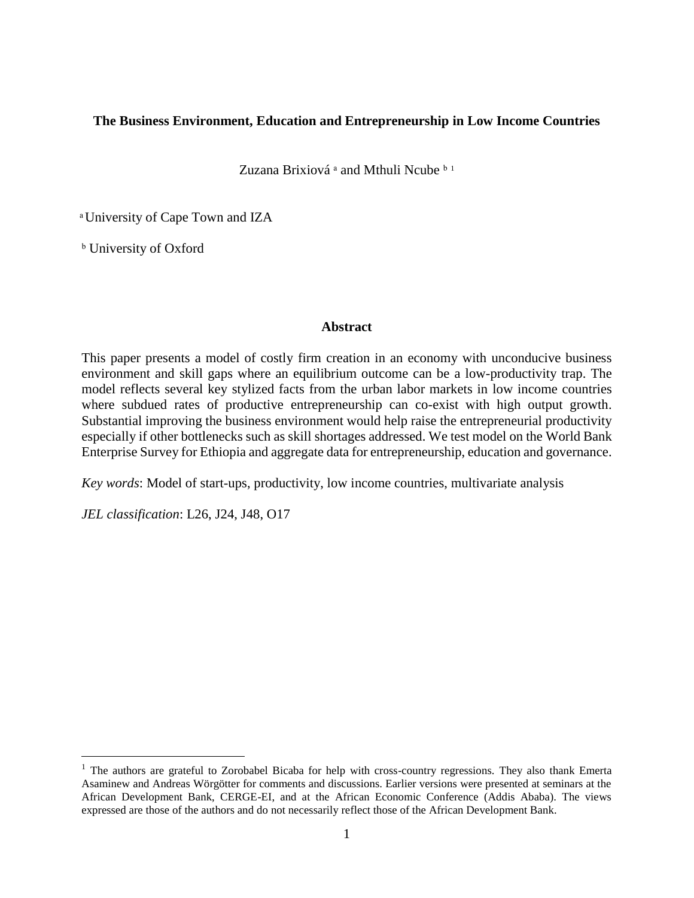## **The Business Environment, Education and Entrepreneurship in Low Income Countries**

Zuzana Brixiová <sup>a</sup> and Mthuli Ncube **b**<sup>1</sup>

ͣ University of Cape Town and IZA

**b** University of Oxford

## **Abstract**

This paper presents a model of costly firm creation in an economy with unconducive business environment and skill gaps where an equilibrium outcome can be a low-productivity trap. The model reflects several key stylized facts from the urban labor markets in low income countries where subdued rates of productive entrepreneurship can co-exist with high output growth. Substantial improving the business environment would help raise the entrepreneurial productivity especially if other bottlenecks such as skill shortages addressed. We test model on the World Bank Enterprise Survey for Ethiopia and aggregate data for entrepreneurship, education and governance.

*Key words*: Model of start-ups, productivity, low income countries, multivariate analysis

*JEL classification*: L26, J24, J48, O17

 $\overline{a}$ 

<sup>&</sup>lt;sup>1</sup> The authors are grateful to Zorobabel Bicaba for help with cross-country regressions. They also thank Emerta Asaminew and Andreas Wörgötter for comments and discussions. Earlier versions were presented at seminars at the African Development Bank, CERGE-EI, and at the African Economic Conference (Addis Ababa). The views expressed are those of the authors and do not necessarily reflect those of the African Development Bank.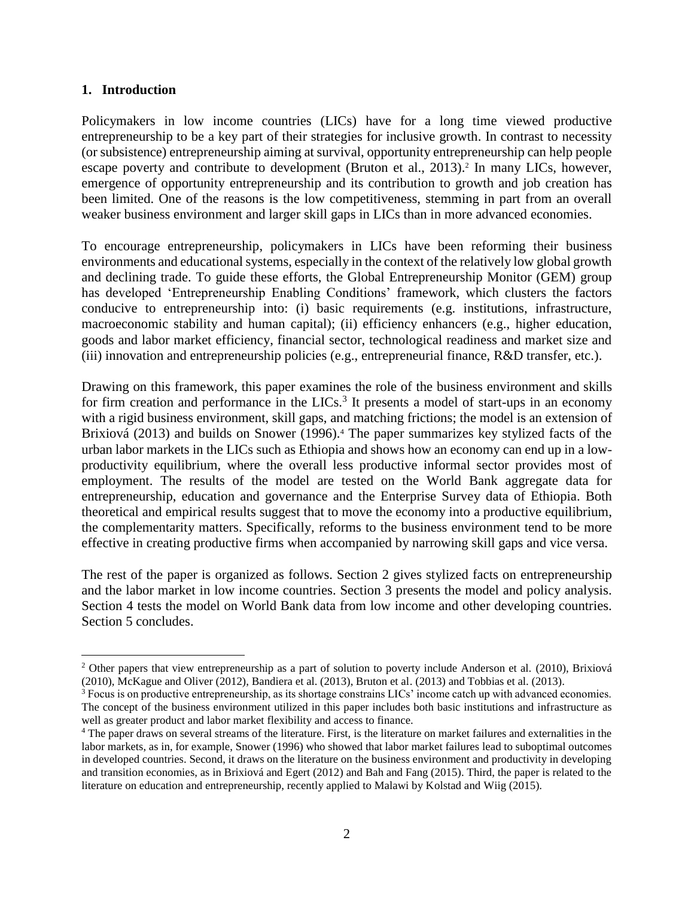### **1. Introduction**

 $\overline{a}$ 

Policymakers in low income countries (LICs) have for a long time viewed productive entrepreneurship to be a key part of their strategies for inclusive growth. In contrast to necessity (or subsistence) entrepreneurship aiming at survival, opportunity entrepreneurship can help people escape poverty and contribute to development (Bruton et al., 2013).<sup>2</sup> In many LICs, however, emergence of opportunity entrepreneurship and its contribution to growth and job creation has been limited. One of the reasons is the low competitiveness, stemming in part from an overall weaker business environment and larger skill gaps in LICs than in more advanced economies.

To encourage entrepreneurship, policymakers in LICs have been reforming their business environments and educational systems, especially in the context of the relatively low global growth and declining trade. To guide these efforts, the Global Entrepreneurship Monitor (GEM) group has developed 'Entrepreneurship Enabling Conditions' framework, which clusters the factors conducive to entrepreneurship into: (i) basic requirements (e.g. institutions, infrastructure, macroeconomic stability and human capital); (ii) efficiency enhancers (e.g., higher education, goods and labor market efficiency, financial sector, technological readiness and market size and (iii) innovation and entrepreneurship policies (e.g., entrepreneurial finance, R&D transfer, etc.).

Drawing on this framework, this paper examines the role of the business environment and skills for firm creation and performance in the  $LICs<sup>3</sup>$ . It presents a model of start-ups in an economy with a rigid business environment, skill gaps, and matching frictions; the model is an extension of Brixiová (2013) and builds on Snower (1996).<sup>4</sup> The paper summarizes key stylized facts of the urban labor markets in the LICs such as Ethiopia and shows how an economy can end up in a lowproductivity equilibrium, where the overall less productive informal sector provides most of employment. The results of the model are tested on the World Bank aggregate data for entrepreneurship, education and governance and the Enterprise Survey data of Ethiopia. Both theoretical and empirical results suggest that to move the economy into a productive equilibrium, the complementarity matters. Specifically, reforms to the business environment tend to be more effective in creating productive firms when accompanied by narrowing skill gaps and vice versa.

The rest of the paper is organized as follows. Section 2 gives stylized facts on entrepreneurship and the labor market in low income countries. Section 3 presents the model and policy analysis. Section 4 tests the model on World Bank data from low income and other developing countries. Section 5 concludes.

<sup>&</sup>lt;sup>2</sup> Other papers that view entrepreneurship as a part of solution to poverty include Anderson et al. (2010), Brixiová (2010), McKague and Oliver (2012), Bandiera et al. (2013), Bruton et al. (2013) and Tobbias et al. (2013).

<sup>&</sup>lt;sup>3</sup> Focus is on productive entrepreneurship, as its shortage constrains LICs' income catch up with advanced economies. The concept of the business environment utilized in this paper includes both basic institutions and infrastructure as well as greater product and labor market flexibility and access to finance.

<sup>4</sup> The paper draws on several streams of the literature. First, is the literature on market failures and externalities in the labor markets, as in, for example, Snower (1996) who showed that labor market failures lead to suboptimal outcomes in developed countries. Second, it draws on the literature on the business environment and productivity in developing and transition economies, as in Brixiová and Egert (2012) and Bah and Fang (2015). Third, the paper is related to the literature on education and entrepreneurship, recently applied to Malawi by Kolstad and Wiig (2015).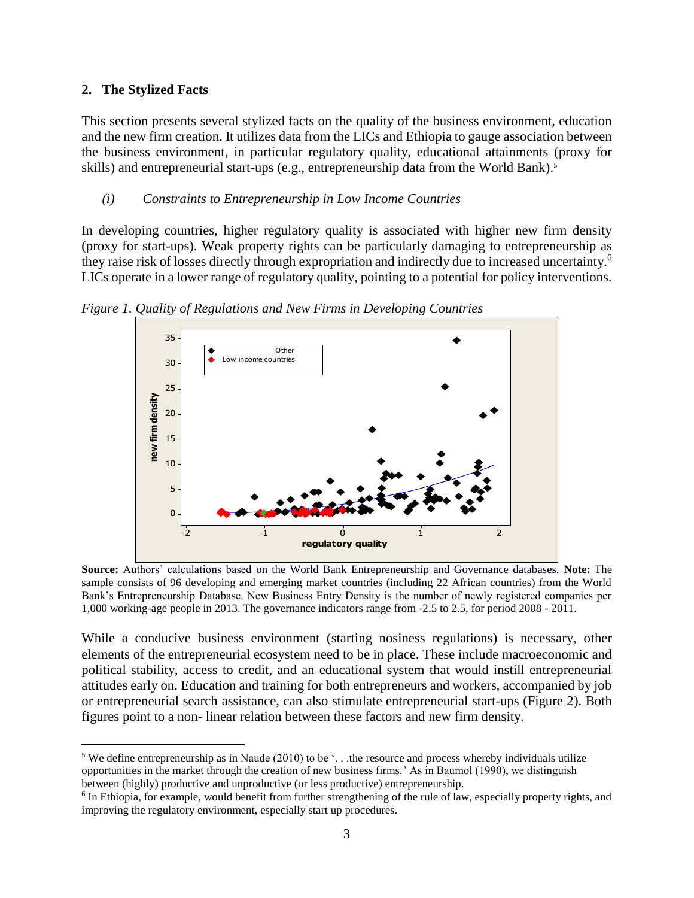## **2. The Stylized Facts**

 $\overline{a}$ 

This section presents several stylized facts on the quality of the business environment, education and the new firm creation. It utilizes data from the LICs and Ethiopia to gauge association between the business environment, in particular regulatory quality, educational attainments (proxy for skills) and entrepreneurial start-ups (e.g., entrepreneurship data from the World Bank). 5

## *(i) Constraints to Entrepreneurship in Low Income Countries*

In developing countries, higher regulatory quality is associated with higher new firm density (proxy for start-ups). Weak property rights can be particularly damaging to entrepreneurship as they raise risk of losses directly through expropriation and indirectly due to increased uncertainty.<sup>6</sup> LICs operate in a lower range of regulatory quality, pointing to a potential for policy interventions.



*Figure 1. Quality of Regulations and New Firms in Developing Countries*

**Source:** Authors' calculations based on the World Bank Entrepreneurship and Governance databases. **Note:** The sample consists of 96 developing and emerging market countries (including 22 African countries) from the World Bank's Entrepreneurship Database. New Business Entry Density is the number of newly registered companies per 1,000 working-age people in 2013. The governance indicators range from -2.5 to 2.5, for period 2008 - 2011.

While a conducive business environment (starting nosiness regulations) is necessary, other elements of the entrepreneurial ecosystem need to be in place. These include macroeconomic and political stability, access to credit, and an educational system that would instill entrepreneurial attitudes early on. Education and training for both entrepreneurs and workers, accompanied by job or entrepreneurial search assistance, can also stimulate entrepreneurial start-ups (Figure 2). Both figures point to a non- linear relation between these factors and new firm density.

<sup>&</sup>lt;sup>5</sup> We define entrepreneurship as in Naude (2010) to be  $\ldots$  the resource and process whereby individuals utilize opportunities in the market through the creation of new business firms.' As in Baumol (1990), we distinguish between (highly) productive and unproductive (or less productive) entrepreneurship.

<sup>&</sup>lt;sup>6</sup> In Ethiopia, for example, would benefit from further strengthening of the rule of law, especially property rights, and improving the regulatory environment, especially start up procedures.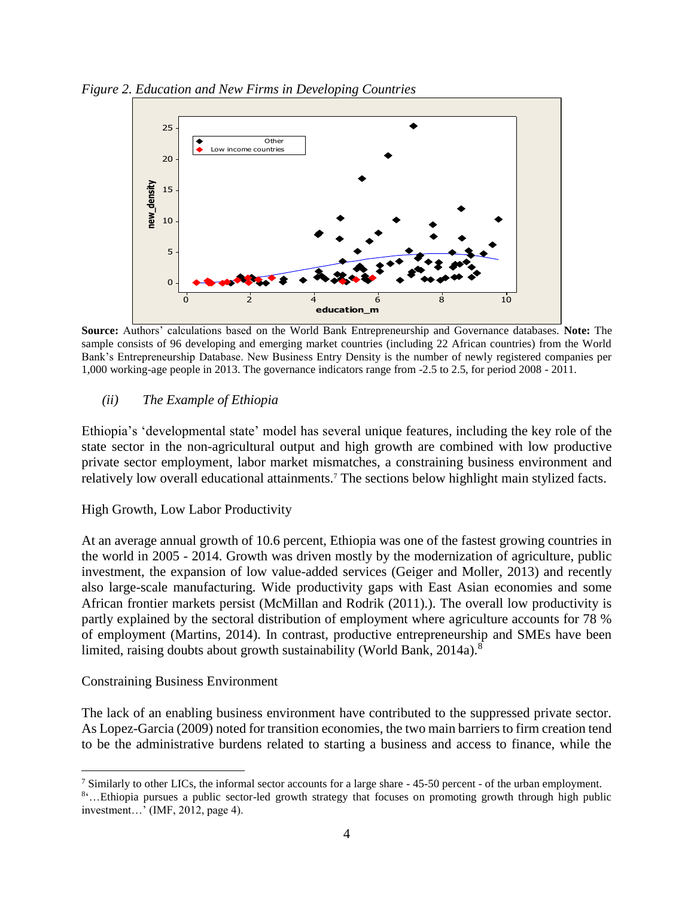*Figure 2. Education and New Firms in Developing Countries*



**Source:** Authors' calculations based on the World Bank Entrepreneurship and Governance databases. **Note:** The sample consists of 96 developing and emerging market countries (including 22 African countries) from the World Bank's Entrepreneurship Database. New Business Entry Density is the number of newly registered companies per 1,000 working-age people in 2013. The governance indicators range from -2.5 to 2.5, for period 2008 - 2011.

## *(ii) The Example of Ethiopia*

Ethiopia's 'developmental state' model has several unique features, including the key role of the state sector in the non-agricultural output and high growth are combined with low productive private sector employment, labor market mismatches, a constraining business environment and relatively low overall educational attainments.<sup>7</sup> The sections below highlight main stylized facts.

## High Growth, Low Labor Productivity

At an average annual growth of 10.6 percent, Ethiopia was one of the fastest growing countries in the world in 2005 - 2014. Growth was driven mostly by the modernization of agriculture, public investment, the expansion of low value-added services (Geiger and Moller, 2013) and recently also large-scale manufacturing. Wide productivity gaps with East Asian economies and some African frontier markets persist (McMillan and Rodrik (2011).). The overall low productivity is partly explained by the sectoral distribution of employment where agriculture accounts for 78 % of employment (Martins, 2014). In contrast, productive entrepreneurship and SMEs have been limited, raising doubts about growth sustainability (World Bank, 2014a).<sup>8</sup>

## Constraining Business Environment

The lack of an enabling business environment have contributed to the suppressed private sector. As Lopez-Garcia (2009) noted for transition economies, the two main barriers to firm creation tend to be the administrative burdens related to starting a business and access to finance, while the

 $\overline{a}$ <sup>7</sup> Similarly to other LICs, the informal sector accounts for a large share  $-45-50$  percent - of the urban employment.

<sup>&</sup>lt;sup>8</sup>...Ethiopia pursues a public sector-led growth strategy that focuses on promoting growth through high public investment…' (IMF, 2012, page 4).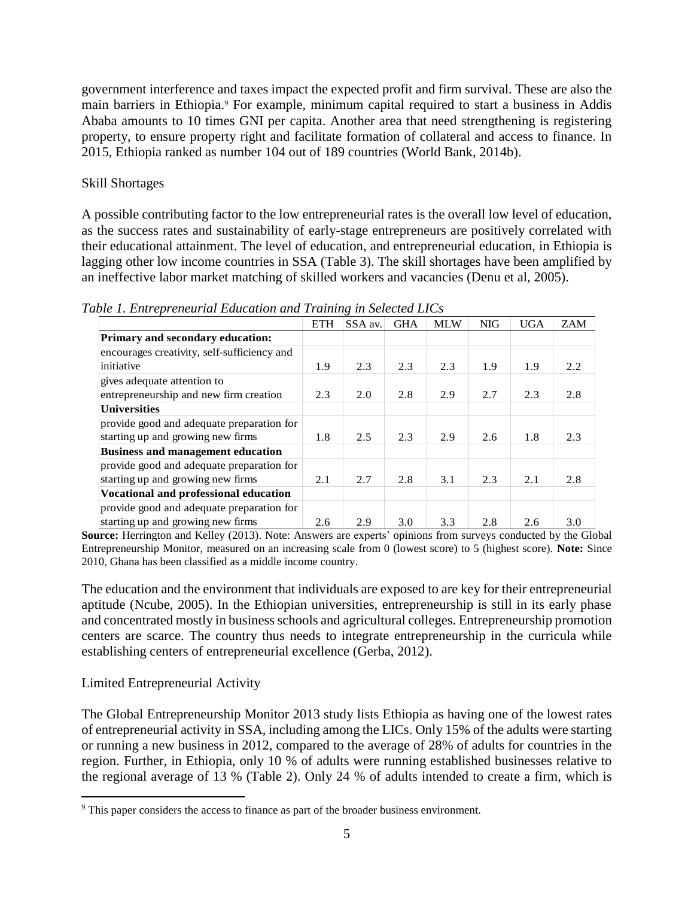government interference and taxes impact the expected profit and firm survival. These are also the main barriers in Ethiopia.<sup>9</sup> For example, minimum capital required to start a business in Addis Ababa amounts to 10 times GNI per capita. Another area that need strengthening is registering property, to ensure property right and facilitate formation of collateral and access to finance. In 2015, Ethiopia ranked as number 104 out of 189 countries (World Bank, 2014b).

## Skill Shortages

A possible contributing factor to the low entrepreneurial rates is the overall low level of education, as the success rates and sustainability of early-stage entrepreneurs are positively correlated with their educational attainment. The level of education, and entrepreneurial education, in Ethiopia is lagging other low income countries in SSA (Table 3). The skill shortages have been amplified by an ineffective labor market matching of skilled workers and vacancies (Denu et al, 2005).

*Table 1. Entrepreneurial Education and Training in Selected LICs*

|                                             | <b>ETH</b> | SSA av. | <b>GHA</b> | <b>MLW</b> | <b>NIG</b> | <b>UGA</b> | ZAM |
|---------------------------------------------|------------|---------|------------|------------|------------|------------|-----|
| <b>Primary and secondary education:</b>     |            |         |            |            |            |            |     |
| encourages creativity, self-sufficiency and |            |         |            |            |            |            |     |
| initiative                                  | 1.9        | 2.3     | 2.3        | 2.3        | 1.9        | 1.9        | 2.2 |
| gives adequate attention to                 |            |         |            |            |            |            |     |
| entrepreneurship and new firm creation      | 2.3        | 2.0     | 2.8        | 2.9        | 2.7        | 2.3        | 2.8 |
| <b>Universities</b>                         |            |         |            |            |            |            |     |
| provide good and adequate preparation for   |            |         |            |            |            |            |     |
| starting up and growing new firms           | 1.8        | 2.5     | 2.3        | 2.9        | 2.6        | 1.8        | 2.3 |
| <b>Business and management education</b>    |            |         |            |            |            |            |     |
| provide good and adequate preparation for   |            |         |            |            |            |            |     |
| starting up and growing new firms           | 2.1        | 2.7     | 2.8        | 3.1        | 2.3        | 2.1        | 2.8 |
| Vocational and professional education       |            |         |            |            |            |            |     |
| provide good and adequate preparation for   |            |         |            |            |            |            |     |
| starting up and growing new firms           | 2.6        | 2.9     | 3.0        | 3.3        | 2.8        | 2.6        | 3.0 |

**Source:** Herrington and Kelley (2013). Note: Answers are experts' opinions from surveys conducted by the Global Entrepreneurship Monitor, measured on an increasing scale from 0 (lowest score) to 5 (highest score). **Note:** Since 2010, Ghana has been classified as a middle income country.

The education and the environment that individuals are exposed to are key for their entrepreneurial aptitude (Ncube, 2005). In the Ethiopian universities, entrepreneurship is still in its early phase and concentrated mostly in business schools and agricultural colleges. Entrepreneurship promotion centers are scarce. The country thus needs to integrate entrepreneurship in the curricula while establishing centers of entrepreneurial excellence (Gerba, 2012).

# Limited Entrepreneurial Activity

 $\overline{a}$ 

The Global Entrepreneurship Monitor 2013 study lists Ethiopia as having one of the lowest rates of entrepreneurial activity in SSA, including among the LICs. Only 15% of the adults were starting or running a new business in 2012, compared to the average of 28% of adults for countries in the region. Further, in Ethiopia, only 10 % of adults were running established businesses relative to the regional average of 13 % (Table 2). Only 24 % of adults intended to create a firm, which is

<sup>&</sup>lt;sup>9</sup> This paper considers the access to finance as part of the broader business environment.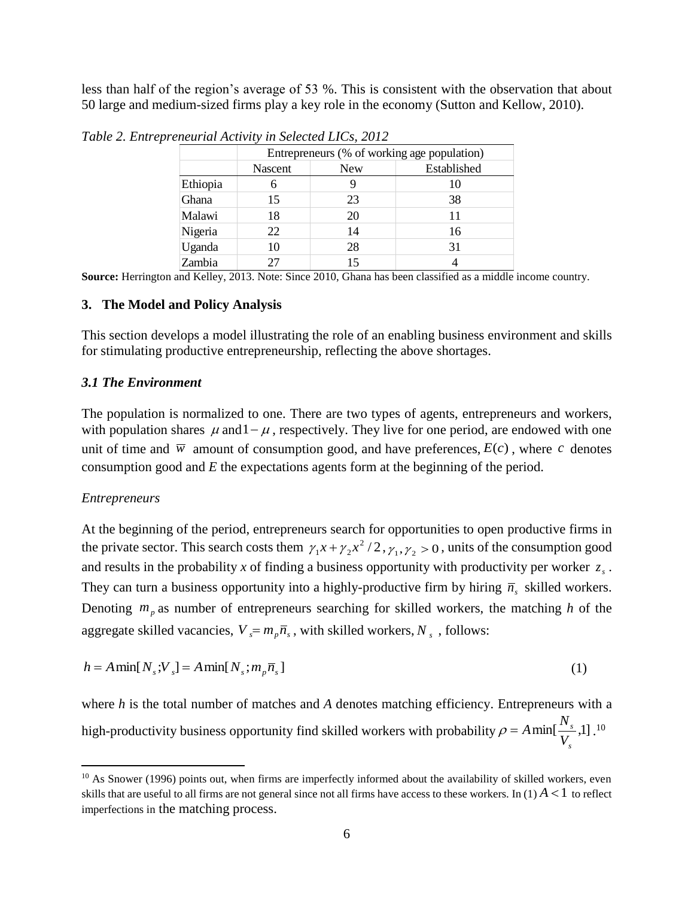less than half of the region's average of 53 %. This is consistent with the observation that about 50 large and medium-sized firms play a key role in the economy (Sutton and Kellow, 2010).

|          | Entrepreneurs (% of working age population) |            |             |  |  |  |  |  |
|----------|---------------------------------------------|------------|-------------|--|--|--|--|--|
|          | Nascent                                     | <b>New</b> | Established |  |  |  |  |  |
| Ethiopia | 6                                           |            | 10          |  |  |  |  |  |
| Ghana    | 15                                          | 23         | 38          |  |  |  |  |  |
| Malawi   | 18                                          | 20         | 11          |  |  |  |  |  |
| Nigeria  | 22                                          | 14         | 16          |  |  |  |  |  |
| Uganda   | 10                                          | 28         | 31          |  |  |  |  |  |
| Zambia   |                                             | 15         |             |  |  |  |  |  |

*Table 2. Entrepreneurial Activity in Selected LICs, 2012*

**Source:** Herrington and Kelley, 2013. Note: Since 2010, Ghana has been classified as a middle income country.

### **3. The Model and Policy Analysis**

This section develops a model illustrating the role of an enabling business environment and skills for stimulating productive entrepreneurship, reflecting the above shortages.

### *3.1 The Environment*

The population is normalized to one. There are two types of agents, entrepreneurs and workers, with population shares  $\mu$  and  $1 - \mu$ , respectively. They live for one period, are endowed with one unit of time and  $\overline{w}$  amount of consumption good, and have preferences,  $E(c)$ , where c denotes consumption good and *E* the expectations agents form at the beginning of the period.

### *Entrepreneurs*

 $\overline{a}$ 

At the beginning of the period, entrepreneurs search for opportunities to open productive firms in the private sector. This search costs them  $\gamma_1 x + \gamma_2 x^2/2$  $\gamma_1 x + \gamma_2 x^2 / 2$ ,  $\gamma_1, \gamma_2 > 0$ , units of the consumption good and results in the probability x of finding a business opportunity with productivity per worker  $z<sub>s</sub>$ . They can turn a business opportunity into a highly-productive firm by hiring  $\bar{n}_s$  skilled workers. Denoting  $m_p$  as number of entrepreneurs searching for skilled workers, the matching h of the aggregate skilled vacancies,  $V_s = m_p \overline{n}_s$ , with skilled workers,  $N_s$ , follows:

$$
h = A \min[N_s; V_s] = A \min[N_s; m_p \overline{n}_s]
$$
\n<sup>(1)</sup>

where *h* is the total number of matches and *A* denotes matching efficiency. Entrepreneurs with a high-productivity business opportunity find skilled workers with probability  $\rho = A \min[\frac{1}{N_s}, 1]$ .<sup>10</sup> *s V*  $\rho = A \min[\frac{N}{N}]$ 

*s*

 $10$  As Snower (1996) points out, when firms are imperfectly informed about the availability of skilled workers, even skills that are useful to all firms are not general since not all firms have access to these workers. In  $(1) A < 1$  to reflect imperfections in the matching process.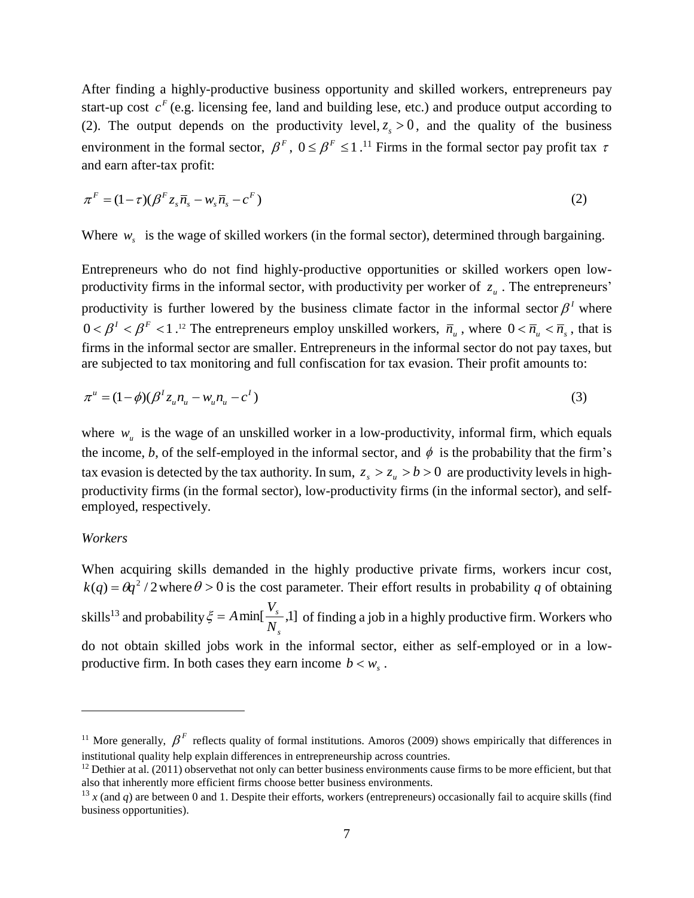After finding a highly-productive business opportunity and skilled workers, entrepreneurs pay start-up cost  $c<sup>F</sup>$  (e.g. licensing fee, land and building lese, etc.) and produce output according to (2). The output depends on the productivity level,  $z_s > 0$ , and the quality of the business environment in the formal sector,  $\beta^F$ ,  $0 \le \beta^F \le 1$ .<sup>11</sup> Firms in the formal sector pay profit tax  $\tau$ and earn after-tax profit:

$$
\pi^F = (1 - \tau)(\beta^F z_s \overline{n}_s - w_s \overline{n}_s - c^F) \tag{2}
$$

Where  $w_s$  is the wage of skilled workers (in the formal sector), determined through bargaining.

Entrepreneurs who do not find highly-productive opportunities or skilled workers open lowproductivity firms in the informal sector, with productivity per worker of  $z<sub>u</sub>$ . The entrepreneurs' productivity is further lowered by the business climate factor in the informal sector  $\beta<sup>1</sup>$  where  $0 < \beta^1 < \beta^F < 1$ .<sup>12</sup> The entrepreneurs employ unskilled workers,  $\overline{n}_u$ , where  $0 < \overline{n}_u < \overline{n}_s$ , that is firms in the informal sector are smaller. Entrepreneurs in the informal sector do not pay taxes, but are subjected to tax monitoring and full confiscation for tax evasion. Their profit amounts to:

$$
\pi^{u} = (1 - \phi)(\beta^{t} z_{u} n_{u} - w_{u} n_{u} - c^{t})
$$
\n(3)

where  $w_u$  is the wage of an unskilled worker in a low-productivity, informal firm, which equals the income, *b*, of the self-employed in the informal sector, and  $\phi$  is the probability that the firm's tax evasion is detected by the tax authority. In sum,  $z_s > z_u > b > 0$  are productivity levels in highproductivity firms (in the formal sector), low-productivity firms (in the informal sector), and selfemployed, respectively.

### *Workers*

 $\overline{a}$ 

When acquiring skills demanded in the highly productive private firms, workers incur cost,  $k(q) = \theta q^2 / 2$  where  $\theta > 0$  is the cost parameter. Their effort results in probability *q* of obtaining skills<sup>13</sup> and probability  $\xi = A \min[\frac{r}{N}, 1]$  of finding a job in a highly productive firm. Workers who do not obtain skilled jobs work in the informal sector, either as self-employed or in a lowproductive firm. In both cases they earn income  $b < w_s$ . *s s N*  $\xi = A \min[\frac{V}{V}]$ 

<sup>&</sup>lt;sup>11</sup> More generally,  $\beta^F$  reflects quality of formal institutions. Amoros (2009) shows empirically that differences in institutional quality help explain differences in entrepreneurship across countries.

 $12$  Dethier at al. (2011) observethat not only can better business environments cause firms to be more efficient, but that also that inherently more efficient firms choose better business environments.

<sup>&</sup>lt;sup>13</sup> *x* (and *q*) are between 0 and 1. Despite their efforts, workers (entrepreneurs) occasionally fail to acquire skills (find business opportunities).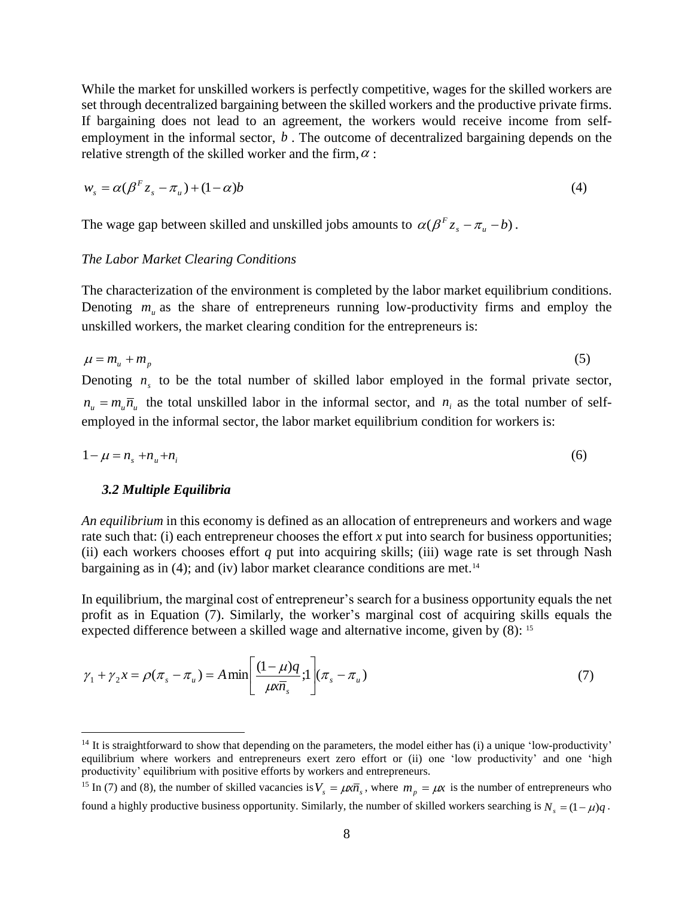While the market for unskilled workers is perfectly competitive, wages for the skilled workers are set through decentralized bargaining between the skilled workers and the productive private firms. If bargaining does not lead to an agreement, the workers would receive income from selfemployment in the informal sector,  $b$ . The outcome of decentralized bargaining depends on the relative strength of the skilled worker and the firm,  $\alpha$ :

$$
w_s = \alpha(\beta^F z_s - \pi_u) + (1 - \alpha)b \tag{4}
$$

The wage gap between skilled and unskilled jobs amounts to  $\alpha(\beta^F z_s - \pi_u - b)$ .

### *The Labor Market Clearing Conditions*

The characterization of the environment is completed by the labor market equilibrium conditions. Denoting  $m_u$  as the share of entrepreneurs running low-productivity firms and employ the unskilled workers, the market clearing condition for the entrepreneurs is:

$$
\mu = m_u + m_p \tag{5}
$$

Denoting  $n<sub>s</sub>$  to be the total number of skilled labor employed in the formal private sector,  $n_{\mu} = m_{\mu} \overline{n}_{\mu}$  the total unskilled labor in the informal sector, and  $n_{i}$  as the total number of selfemployed in the informal sector, the labor market equilibrium condition for workers is:

$$
1 - \mu = n_s + n_u + n_i \tag{6}
$$

#### *3.2 Multiple Equilibria*

 $\overline{a}$ 

*An equilibrium* in this economy is defined as an allocation of entrepreneurs and workers and wage rate such that: (i) each entrepreneur chooses the effort *x* put into search for business opportunities; (ii) each workers chooses effort *q* put into acquiring skills; (iii) wage rate is set through Nash bargaining as in (4); and (iv) labor market clearance conditions are met.<sup>14</sup>

In equilibrium, the marginal cost of entrepreneur's search for a business opportunity equals the net profit as in Equation (7). Similarly, the worker's marginal cost of acquiring skills equals the expected difference between a skilled wage and alternative income, given by (8): <sup>15</sup>

$$
\gamma_1 + \gamma_2 x = \rho(\pi_s - \pi_u) = A \min \left[ \frac{(1 - \mu)q}{\mu x \overline{n}_s} ; 1 \right] (\pi_s - \pi_u)
$$
\n(7)

 $14$  It is straightforward to show that depending on the parameters, the model either has (i) a unique 'low-productivity' equilibrium where workers and entrepreneurs exert zero effort or (ii) one 'low productivity' and one 'high productivity' equilibrium with positive efforts by workers and entrepreneurs.

<sup>&</sup>lt;sup>15</sup> In (7) and (8), the number of skilled vacancies is  $V_s = \mu \overline{m_s}$ , where  $m_p = \mu \overline{x}$  is the number of entrepreneurs who found a highly productive business opportunity. Similarly, the number of skilled workers searching is  $N_s = (1 - \mu)q$ .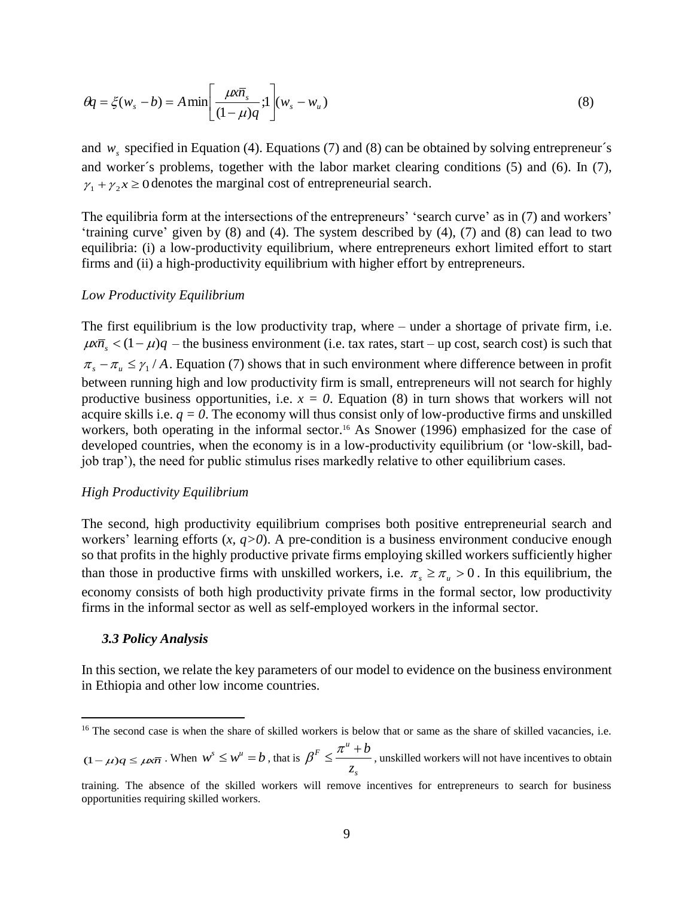$$
\theta q = \xi(w_s - b) = A \min \left[ \frac{\mu x \overline{n}_s}{(1 - \mu)q}; 1 \right] (w_s - w_u)
$$
\n(8)

and  $w_s$  specified in Equation (4). Equations (7) and (8) can be obtained by solving entrepreneur's and worker´s problems, together with the labor market clearing conditions (5) and (6). In (7),  $\gamma_1 + \gamma_2 x \ge 0$  denotes the marginal cost of entrepreneurial search.

The equilibria form at the intersections of the entrepreneurs' 'search curve' as in (7) and workers' 'training curve' given by (8) and (4). The system described by (4), (7) and (8) can lead to two equilibria: (i) a low-productivity equilibrium, where entrepreneurs exhort limited effort to start firms and (ii) a high-productivity equilibrium with higher effort by entrepreneurs.

#### *Low Productivity Equilibrium*

The first equilibrium is the low productivity trap, where – under a shortage of private firm, i.e.  $\mu \overline{n_s}$  <  $(1 - \mu)q$  – the business environment (i.e. tax rates, start – up cost, search cost) is such that  $\pi_s - \pi_u \leq \gamma_1 / A$ . Equation (7) shows that in such environment where difference between in profit between running high and low productivity firm is small, entrepreneurs will not search for highly productive business opportunities, i.e.  $x = 0$ . Equation (8) in turn shows that workers will not acquire skills i.e.  $q = 0$ . The economy will thus consist only of low-productive firms and unskilled workers, both operating in the informal sector. <sup>16</sup> As Snower (1996) emphasized for the case of developed countries, when the economy is in a low-productivity equilibrium (or 'low-skill, badjob trap'), the need for public stimulus rises markedly relative to other equilibrium cases.

### *High Productivity Equilibrium*

The second, high productivity equilibrium comprises both positive entrepreneurial search and workers' learning efforts (*x, q>0*). A pre-condition is a business environment conducive enough so that profits in the highly productive private firms employing skilled workers sufficiently higher than those in productive firms with unskilled workers, i.e.  $\pi_s \ge \pi_u > 0$ . In this equilibrium, the economy consists of both high productivity private firms in the formal sector, low productivity firms in the informal sector as well as self-employed workers in the informal sector.

#### *3.3 Policy Analysis*

 $\overline{a}$ 

In this section, we relate the key parameters of our model to evidence on the business environment in Ethiopia and other low income countries.

 $(1 - \mu)q \le \mu \times \overline{n}$ . When  $w^s \le w^u = b$ , that is *s*  $F$  *z*<sup>*u*</sup> *z*  $\beta^F \leq \frac{\pi^u + b}{m}$ , unskilled workers will not have incentives to obtain

<sup>&</sup>lt;sup>16</sup> The second case is when the share of skilled workers is below that or same as the share of skilled vacancies, i.e.

training. The absence of the skilled workers will remove incentives for entrepreneurs to search for business opportunities requiring skilled workers.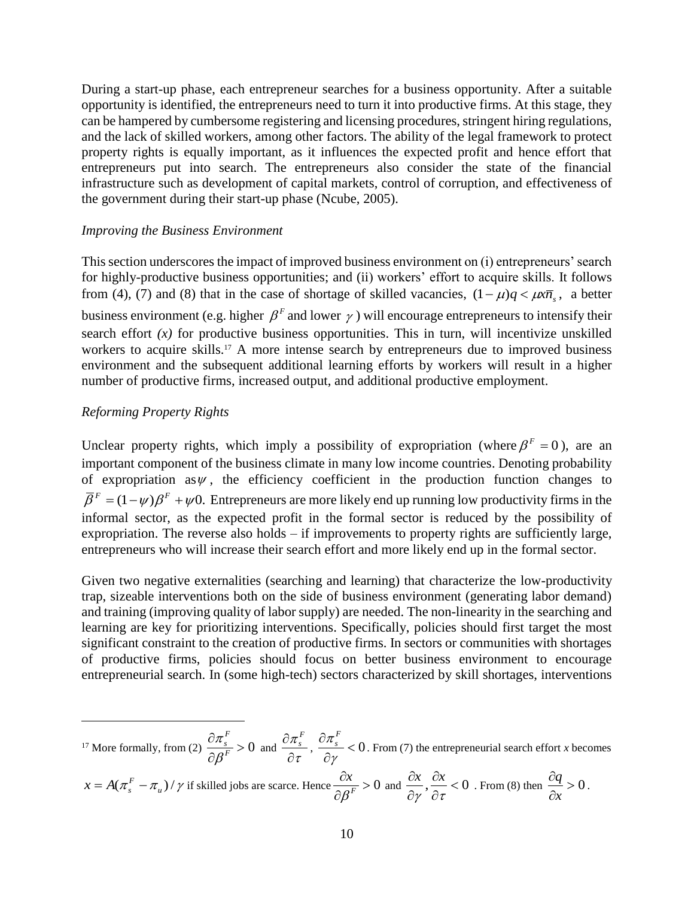During a start-up phase, each entrepreneur searches for a business opportunity. After a suitable opportunity is identified, the entrepreneurs need to turn it into productive firms. At this stage, they can be hampered by cumbersome registering and licensing procedures, stringent hiring regulations, and the lack of skilled workers, among other factors. The ability of the legal framework to protect property rights is equally important, as it influences the expected profit and hence effort that entrepreneurs put into search. The entrepreneurs also consider the state of the financial infrastructure such as development of capital markets, control of corruption, and effectiveness of the government during their start-up phase (Ncube, 2005).

### *Improving the Business Environment*

This section underscores the impact of improved business environment on (i) entrepreneurs' search for highly-productive business opportunities; and (ii) workers' effort to acquire skills. It follows from (4), (7) and (8) that in the case of shortage of skilled vacancies,  $(1 - \mu)q < \mu \overline{m_s}$ , a better business environment (e.g. higher  $\beta^F$  and lower  $\gamma$ ) will encourage entrepreneurs to intensify their search effort  $(x)$  for productive business opportunities. This in turn, will incentivize unskilled workers to acquire skills. <sup>17</sup> A more intense search by entrepreneurs due to improved business environment and the subsequent additional learning efforts by workers will result in a higher number of productive firms, increased output, and additional productive employment.

## *Reforming Property Rights*

 $\overline{a}$ 

Unclear property rights, which imply a possibility of expropriation (where  $\beta^F = 0$ ), are an important component of the business climate in many low income countries. Denoting probability of expropriation as  $\psi$ , the efficiency coefficient in the production function changes to  $\overline{\beta}^F = (1 - \psi)\beta^F + \psi 0$ . Entrepreneurs are more likely end up running low productivity firms in the informal sector, as the expected profit in the formal sector is reduced by the possibility of expropriation. The reverse also holds – if improvements to property rights are sufficiently large, entrepreneurs who will increase their search effort and more likely end up in the formal sector.

Given two negative externalities (searching and learning) that characterize the low-productivity trap, sizeable interventions both on the side of business environment (generating labor demand) and training (improving quality of labor supply) are needed. The non-linearity in the searching and learning are key for prioritizing interventions. Specifically, policies should first target the most significant constraint to the creation of productive firms. In sectors or communities with shortages of productive firms, policies should focus on better business environment to encourage entrepreneurial search. In (some high-tech) sectors characterized by skill shortages, interventions

<sup>17</sup> More formally, from (2)  $\frac{GR_s}{2.2\pi} > 0$  $\partial$  $\partial$ *F F s*  $\beta$  $\frac{\pi_s}{\beta^F} > 0$  and  $\frac{\partial \pi_s}{\partial \tau}$ π  $\partial$  $\partial \pi_{\text{\tiny s}}^F$  $\frac{s}{s-1}$ ,  $\frac{on_s}{s-1}$  < 0  $\partial$  $\partial$  $\gamma$  $\pi^F$  $s<$  0. From (7) the entrepreneurial search effort *x* becomes

$$
x = A(\pi_s^F - \pi_u)/\gamma
$$
 if skilled jobs are scarce. Hence  $\frac{\partial x}{\partial \beta^F} > 0$  and  $\frac{\partial x}{\partial \gamma}, \frac{\partial x}{\partial \tau} < 0$ . From (8) then  $\frac{\partial q}{\partial x} > 0$ .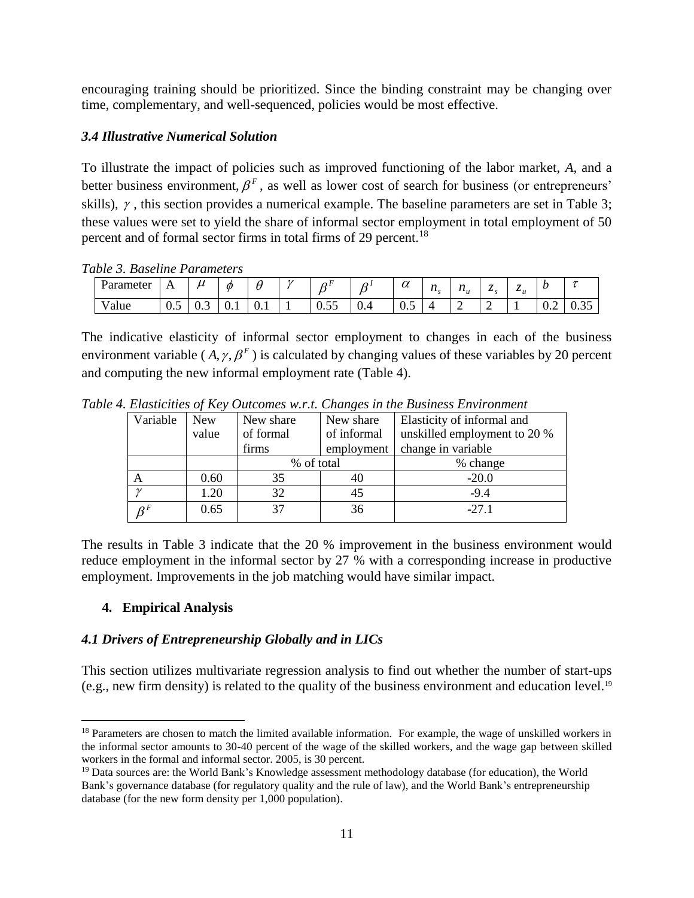encouraging training should be prioritized. Since the binding constraint may be changing over time, complementary, and well-sequenced, policies would be most effective.

# *3.4 Illustrative Numerical Solution*

To illustrate the impact of policies such as improved functioning of the labor market, *A*, and a better business environment,  $\beta^F$ , as well as lower cost of search for business (or entrepreneurs' skills),  $\gamma$ , this section provides a numerical example. The baseline parameters are set in Table 3; these values were set to yield the share of informal sector employment in total employment of 50 percent and of formal sector firms in total firms of 29 percent.<sup>18</sup>

*Table 3. Baseline Parameters* 

| Parameter<br>- | . . | u        | 0   |     | $\overline{ }$ | $\sim$<br>$\sim$ | ำ.  | $\sim$<br>$\boldsymbol{\mathcal{U}}$ | $\mathbf{z}$<br>$\mathbf{u}$ | $\mathbf{z}$<br>$\mathbf{u}_{\cdot \cdot}$<br>$\boldsymbol{\mathcal{U}}$ | -<br>$\sim$ $\sim$ | -<br>$\sim_u$ | ı                |                       |
|----------------|-----|----------|-----|-----|----------------|------------------|-----|--------------------------------------|------------------------------|--------------------------------------------------------------------------|--------------------|---------------|------------------|-----------------------|
| v alue         | ∪.∪ | ∽<br>U.J | v.i | v.i |                | $ -$<br>∪.∪J     | U.4 | ∪.∪                                  |                              | <b>__</b>                                                                | ∽                  |               | $v.\overline{v}$ | $\sim$ $\sim$<br>v.JJ |

The indicative elasticity of informal sector employment to changes in each of the business environment variable  $(A, \gamma, \beta^F)$  is calculated by changing values of these variables by 20 percent and computing the new informal employment rate (Table 4).

| Variable | <b>New</b> | New share                | New share | Elasticity of informal and   |  |  |
|----------|------------|--------------------------|-----------|------------------------------|--|--|
|          | value      | of formal<br>of informal |           | unskilled employment to 20 % |  |  |
|          |            | firms<br>employment      |           | change in variable           |  |  |
|          |            | % of total               |           | % change                     |  |  |
| А        | 0.60       | 35                       | 40        | $-20.0$                      |  |  |
| $\gamma$ | 1.20       | 32                       | 45        | $-9.4$                       |  |  |
|          | 0.65       | 37                       | 36        | $-27.1$                      |  |  |

*Table 4. Elasticities of Key Outcomes w.r.t. Changes in the Business Environment*

The results in Table 3 indicate that the 20 % improvement in the business environment would reduce employment in the informal sector by 27 % with a corresponding increase in productive employment. Improvements in the job matching would have similar impact.

# **4. Empirical Analysis**

 $\overline{a}$ 

# *4.1 Drivers of Entrepreneurship Globally and in LICs*

This section utilizes multivariate regression analysis to find out whether the number of start-ups (e.g., new firm density) is related to the quality of the business environment and education level.<sup>19</sup>

<sup>&</sup>lt;sup>18</sup> Parameters are chosen to match the limited available information. For example, the wage of unskilled workers in the informal sector amounts to 30-40 percent of the wage of the skilled workers, and the wage gap between skilled workers in the formal and informal sector. 2005, is 30 percent.

<sup>&</sup>lt;sup>19</sup> Data sources are: the World Bank's Knowledge assessment methodology database (for education), the World Bank's governance database (for regulatory quality and the rule of law), and the World Bank's entrepreneurship database (for the new form density per 1,000 population).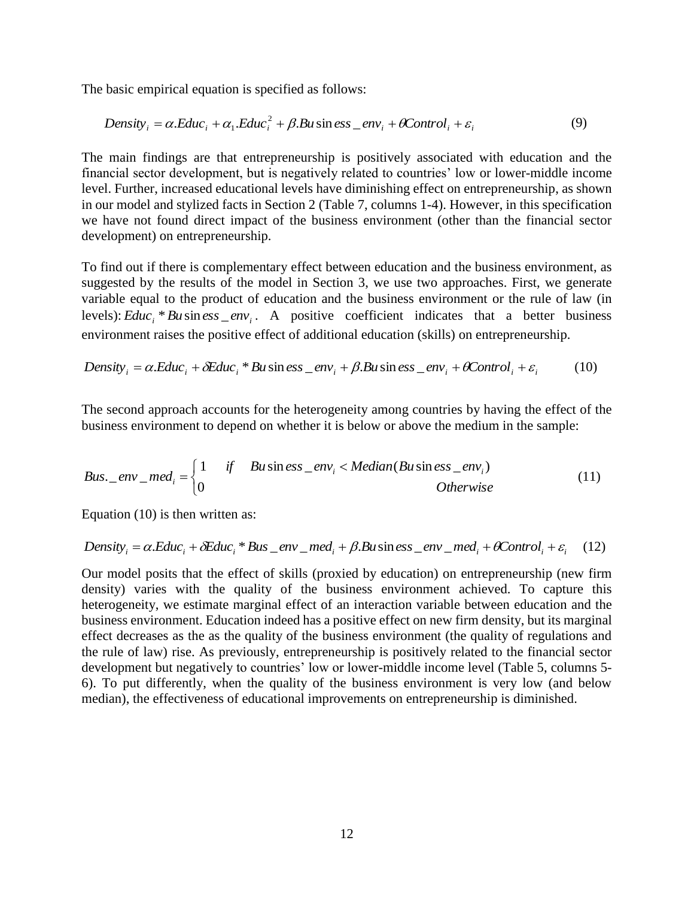The basic empirical equation is specified as follows:

$$
Density_i = \alpha. Educ_i + \alpha_1. Educ_i^2 + \beta. Bu \sin ess\_env_i + \theta Control_i + \varepsilon_i
$$
 (9)

The main findings are that entrepreneurship is positively associated with education and the financial sector development, but is negatively related to countries' low or lower-middle income level. Further, increased educational levels have diminishing effect on entrepreneurship, as shown in our model and stylized facts in Section 2 (Table 7, columns 1-4). However, in this specification we have not found direct impact of the business environment (other than the financial sector development) on entrepreneurship.

To find out if there is complementary effect between education and the business environment, as suggested by the results of the model in Section 3, we use two approaches. First, we generate variable equal to the product of education and the business environment or the rule of law (in levels):  $Educ_i * Bu \sin ess\_env_i$ . A positive coefficient indicates that a better business environment raises the positive effect of additional education (skills) on entrepreneurship.

Density<sub>i</sub> = 
$$
\alpha
$$
.*Educ<sub>i</sub>* +  $\delta$ *Educ<sub>i</sub>* \* *Bu* sin *ess*  $\_\text{envi$  +  $\beta$ .*Bu* sin *ess*  $\_\text{envi$  +  $\theta$ *Control<sub>i</sub>* +  $\varepsilon$ <sub>i</sub> (10)

The second approach accounts for the heterogeneity among countries by having the effect of the business environment to depend on whether it is below or above the medium in the sample:

*Bus* 
$$
\_ env\_\_ med_i = \begin{cases} 1 & \text{if} \quad Bu \sin ess\_\_ env_i < Median(Bu \sin ess\_\_ env_i) \\ 0 < 0 \end{cases}
$$

Equation (10) is then written as:

Density<sub>i</sub> = 
$$
\alpha
$$
.*Educ<sub>i</sub>* +  $\delta$ *Educ<sub>i</sub>* \* *Bus* env med<sub>i</sub> +  $\beta$ .*Bu* sin *ess* env med<sub>i</sub> +  $\beta$ *Control<sub>i</sub>* +  $\varepsilon$ <sub>i</sub> (12)

Our model posits that the effect of skills (proxied by education) on entrepreneurship (new firm density) varies with the quality of the business environment achieved. To capture this heterogeneity, we estimate marginal effect of an interaction variable between education and the business environment. Education indeed has a positive effect on new firm density, but its marginal effect decreases as the as the quality of the business environment (the quality of regulations and the rule of law) rise. As previously, entrepreneurship is positively related to the financial sector development but negatively to countries' low or lower-middle income level (Table 5, columns 5- 6). To put differently, when the quality of the business environment is very low (and below median), the effectiveness of educational improvements on entrepreneurship is diminished.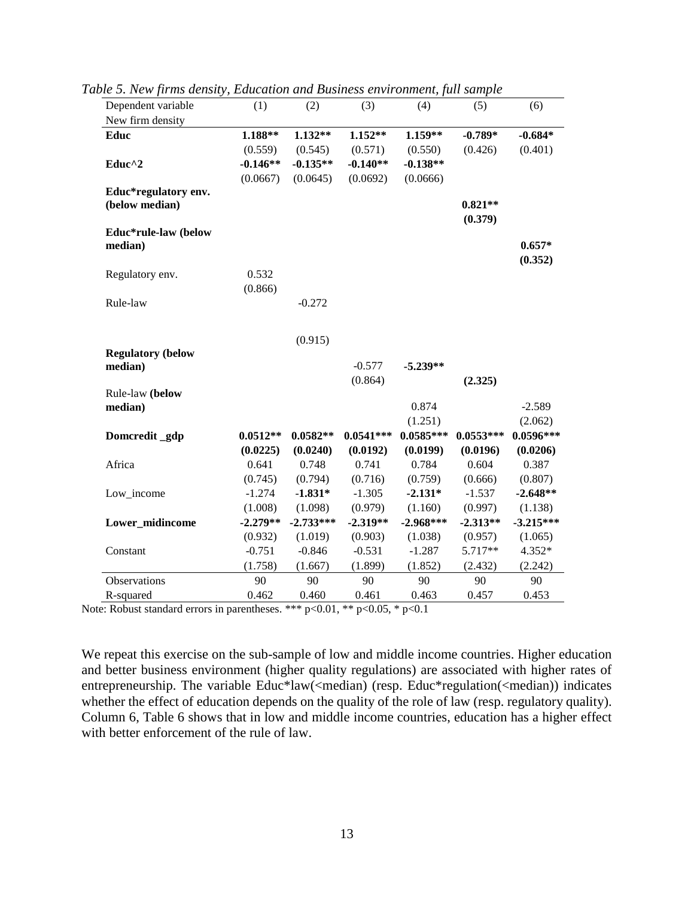| Dependent variable       | (1)        | (2)         | (3)         | (4)         | (5)         | (6)         |
|--------------------------|------------|-------------|-------------|-------------|-------------|-------------|
| New firm density         |            |             |             |             |             |             |
| Educ                     | 1.188**    | 1.132**     | $1.152**$   | 1.159**     | $-0.789*$   | $-0.684*$   |
|                          | (0.559)    | (0.545)     | (0.571)     | (0.550)     | (0.426)     | (0.401)     |
| Educ <sup>^2</sup>       | $-0.146**$ | $-0.135**$  | $-0.140**$  | $-0.138**$  |             |             |
|                          | (0.0667)   | (0.0645)    | (0.0692)    | (0.0666)    |             |             |
| Educ*regulatory env.     |            |             |             |             |             |             |
| (below median)           |            |             |             |             | $0.821**$   |             |
|                          |            |             |             |             | (0.379)     |             |
| Educ*rule-law (below     |            |             |             |             |             |             |
| median)                  |            |             |             |             |             | $0.657*$    |
|                          |            |             |             |             |             | (0.352)     |
| Regulatory env.          | 0.532      |             |             |             |             |             |
|                          | (0.866)    |             |             |             |             |             |
| Rule-law                 |            | $-0.272$    |             |             |             |             |
|                          |            | (0.915)     |             |             |             |             |
| <b>Regulatory (below</b> |            |             |             |             |             |             |
| median)                  |            |             | $-0.577$    | $-5.239**$  |             |             |
|                          |            |             | (0.864)     |             | (2.325)     |             |
| Rule-law (below          |            |             |             |             |             |             |
| median)                  |            |             |             | 0.874       |             | $-2.589$    |
|                          |            |             |             | (1.251)     |             | (2.062)     |
| Domcredit_gdp            | $0.0512**$ | $0.0582**$  | $0.0541***$ | $0.0585***$ | $0.0553***$ | $0.0596***$ |
|                          | (0.0225)   | (0.0240)    | (0.0192)    | (0.0199)    | (0.0196)    | (0.0206)    |
| Africa                   | 0.641      | 0.748       | 0.741       | 0.784       | 0.604       | 0.387       |
|                          | (0.745)    | (0.794)     | (0.716)     | (0.759)     | (0.666)     | (0.807)     |
| Low_income               | $-1.274$   | $-1.831*$   | $-1.305$    | $-2.131*$   | $-1.537$    | $-2.648**$  |
|                          | (1.008)    | (1.098)     | (0.979)     | (1.160)     | (0.997)     | (1.138)     |
| Lower_midincome          | $-2.279**$ | $-2.733***$ | $-2.319**$  | $-2.968***$ | $-2.313**$  | $-3.215***$ |
|                          | (0.932)    | (1.019)     | (0.903)     | (1.038)     | (0.957)     | (1.065)     |
| Constant                 | $-0.751$   | $-0.846$    | $-0.531$    | $-1.287$    | 5.717**     | 4.352*      |
|                          | (1.758)    | (1.667)     | (1.899)     | (1.852)     | (2.432)     | (2.242)     |
| Observations             | 90         | 90          | 90          | 90          | 90          | 90          |
| R-squared                | 0.462      | 0.460       | 0.461       | 0.463       | 0.457       | 0.453       |

*Table 5. New firms density, Education and Business environment, full sample*

Note: Robust standard errors in parentheses. \*\*\*  $p<0.01$ , \*\*  $p<0.05$ , \*  $p<0.1$ 

We repeat this exercise on the sub-sample of low and middle income countries. Higher education and better business environment (higher quality regulations) are associated with higher rates of entrepreneurship. The variable Educ\*law(<median) (resp. Educ\*regulation(<median)) indicates whether the effect of education depends on the quality of the role of law (resp. regulatory quality). Column 6, Table 6 shows that in low and middle income countries, education has a higher effect with better enforcement of the rule of law.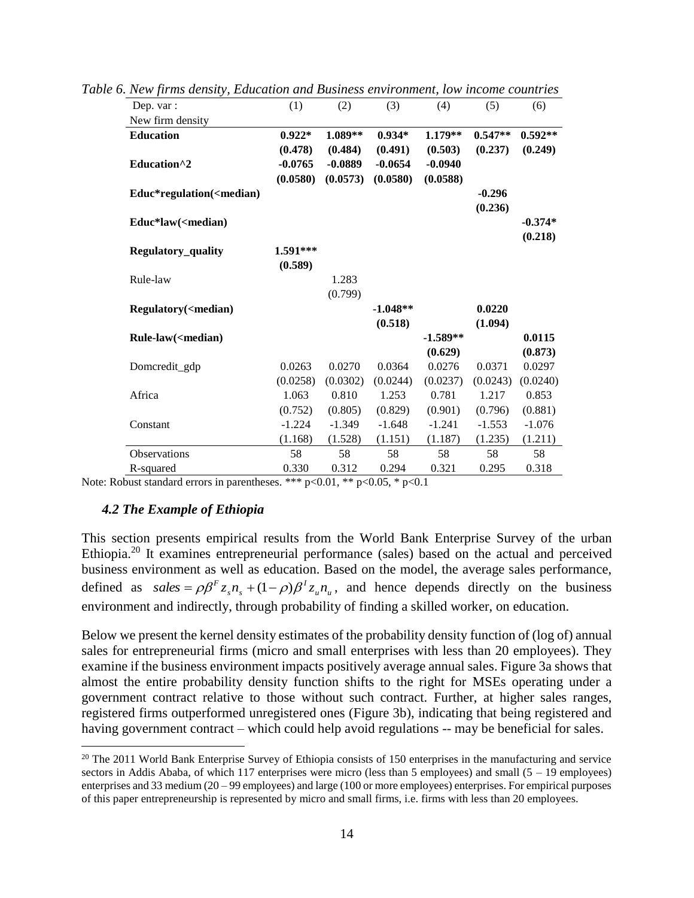| Dep. var :                                                                                                               | (1)       | (2)       | (3)        | (4)        | (5)       | (6)       |
|--------------------------------------------------------------------------------------------------------------------------|-----------|-----------|------------|------------|-----------|-----------|
| New firm density                                                                                                         |           |           |            |            |           |           |
| <b>Education</b>                                                                                                         | $0.922*$  | 1.089**   | $0.934*$   | 1.179**    | $0.547**$ | $0.592**$ |
|                                                                                                                          | (0.478)   | (0.484)   | (0.491)    | (0.503)    | (0.237)   | (0.249)   |
| Education <sup>^2</sup>                                                                                                  | $-0.0765$ | $-0.0889$ | $-0.0654$  | $-0.0940$  |           |           |
|                                                                                                                          | (0.0580)  | (0.0573)  | (0.0580)   | (0.0588)   |           |           |
| Educ*regulation( <median)< td=""><td></td><td></td><td></td><td></td><td><math>-0.296</math></td><td></td></median)<>    |           |           |            |            | $-0.296$  |           |
|                                                                                                                          |           |           |            |            | (0.236)   |           |
| Educ*law( <median)< td=""><td></td><td></td><td></td><td></td><td></td><td><math>-0.374*</math></td></median)<>          |           |           |            |            |           | $-0.374*$ |
|                                                                                                                          |           |           |            |            |           | (0.218)   |
| Regulatory_quality                                                                                                       | 1.591***  |           |            |            |           |           |
|                                                                                                                          | (0.589)   |           |            |            |           |           |
| Rule-law                                                                                                                 |           | 1.283     |            |            |           |           |
|                                                                                                                          |           | (0.799)   |            |            |           |           |
| Regulatory( <median)< td=""><td></td><td></td><td><math>-1.048**</math></td><td></td><td>0.0220</td><td></td></median)<> |           |           | $-1.048**$ |            | 0.0220    |           |
|                                                                                                                          |           |           | (0.518)    |            | (1.094)   |           |
| Rule-law( <median)< td=""><td></td><td></td><td></td><td><math>-1.589**</math></td><td></td><td>0.0115</td></median)<>   |           |           |            | $-1.589**$ |           | 0.0115    |
|                                                                                                                          |           |           |            | (0.629)    |           | (0.873)   |
| Domcredit_gdp                                                                                                            | 0.0263    | 0.0270    | 0.0364     | 0.0276     | 0.0371    | 0.0297    |
|                                                                                                                          | (0.0258)  | (0.0302)  | (0.0244)   | (0.0237)   | (0.0243)  | (0.0240)  |
| Africa                                                                                                                   | 1.063     | 0.810     | 1.253      | 0.781      | 1.217     | 0.853     |
|                                                                                                                          | (0.752)   | (0.805)   | (0.829)    | (0.901)    | (0.796)   | (0.881)   |
| Constant                                                                                                                 | $-1.224$  | $-1.349$  | $-1.648$   | $-1.241$   | $-1.553$  | $-1.076$  |
|                                                                                                                          | (1.168)   | (1.528)   | (1.151)    | (1.187)    | (1.235)   | (1.211)   |
| <b>Observations</b>                                                                                                      | 58        | 58        | 58         | 58         | 58        | 58        |
| R-squared                                                                                                                | 0.330     | 0.312     | 0.294      | 0.321      | 0.295     | 0.318     |

*Table 6. New firms density, Education and Business environment, low income countries*

Note: Robust standard errors in parentheses. \*\*\*  $p<0.01$ , \*\*  $p<0.05$ , \*  $p<0.1$ 

### *4.2 The Example of Ethiopia*

 $\overline{a}$ 

This section presents empirical results from the World Bank Enterprise Survey of the urban Ethiopia.<sup>20</sup> It examines entrepreneurial performance (sales) based on the actual and perceived business environment as well as education. Based on the model, the average sales performance, defined as  $sales = \rho \beta^F z_s n_s + (1 - \rho) \beta^T z_u n_u$ *I*  $s^{\prime \prime} s$  $\text{sales} = \rho \beta^F z_s n_s + (1 - \rho) \beta^T z_u n_u$ , and hence depends directly on the business environment and indirectly, through probability of finding a skilled worker, on education.

Below we present the kernel density estimates of the probability density function of (log of) annual sales for entrepreneurial firms (micro and small enterprises with less than 20 employees). They examine if the business environment impacts positively average annual sales. Figure 3a shows that almost the entire probability density function shifts to the right for MSEs operating under a government contract relative to those without such contract. Further, at higher sales ranges, registered firms outperformed unregistered ones (Figure 3b), indicating that being registered and having government contract – which could help avoid regulations -- may be beneficial for sales.

 $20$  The 2011 World Bank Enterprise Survey of Ethiopia consists of 150 enterprises in the manufacturing and service sectors in Addis Ababa, of which 117 enterprises were micro (less than 5 employees) and small  $(5 - 19)$  employees) enterprises and 33 medium (20 – 99 employees) and large (100 or more employees) enterprises. For empirical purposes of this paper entrepreneurship is represented by micro and small firms, i.e. firms with less than 20 employees.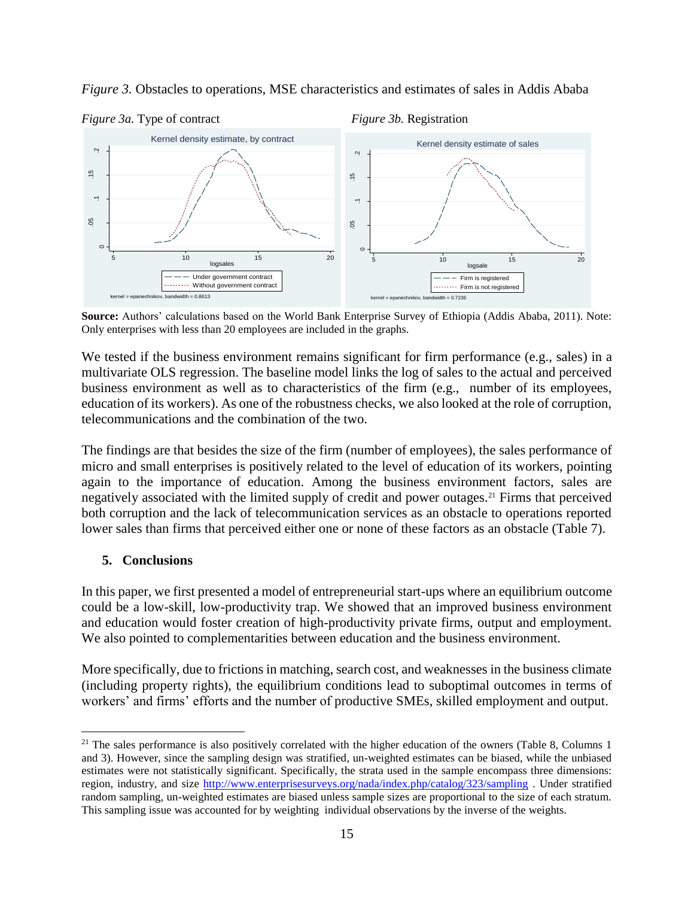

*Figure 3.* Obstacles to operations, MSE characteristics and estimates of sales in Addis Ababa

**Source:** Authors' calculations based on the World Bank Enterprise Survey of Ethiopia (Addis Ababa, 2011). Note: Only enterprises with less than 20 employees are included in the graphs.

We tested if the business environment remains significant for firm performance (e.g., sales) in a multivariate OLS regression. The baseline model links the log of sales to the actual and perceived business environment as well as to characteristics of the firm (e.g., number of its employees, education of its workers). As one of the robustness checks, we also looked at the role of corruption, telecommunications and the combination of the two.

The findings are that besides the size of the firm (number of employees), the sales performance of micro and small enterprises is positively related to the level of education of its workers, pointing again to the importance of education. Among the business environment factors, sales are negatively associated with the limited supply of credit and power outages.<sup>21</sup> Firms that perceived both corruption and the lack of telecommunication services as an obstacle to operations reported lower sales than firms that perceived either one or none of these factors as an obstacle (Table 7).

### **5. Conclusions**

 $\overline{a}$ 

In this paper, we first presented a model of entrepreneurial start-ups where an equilibrium outcome could be a low-skill, low-productivity trap. We showed that an improved business environment and education would foster creation of high-productivity private firms, output and employment. We also pointed to complementarities between education and the business environment.

More specifically, due to frictions in matching, search cost, and weaknesses in the business climate (including property rights), the equilibrium conditions lead to suboptimal outcomes in terms of workers' and firms' efforts and the number of productive SMEs, skilled employment and output.

 $21$  The sales performance is also positively correlated with the higher education of the owners (Table 8, Columns 1 and 3). However, since the sampling design was stratified, un-weighted estimates can be biased, while the unbiased estimates were not statistically significant. Specifically, the strata used in the sample encompass three dimensions: region, industry, and size <http://www.enterprisesurveys.org/nada/index.php/catalog/323/sampling> . Under stratified random sampling, un-weighted estimates are biased unless sample sizes are proportional to the size of each stratum. This sampling issue was accounted for by weighting individual observations by the inverse of the weights.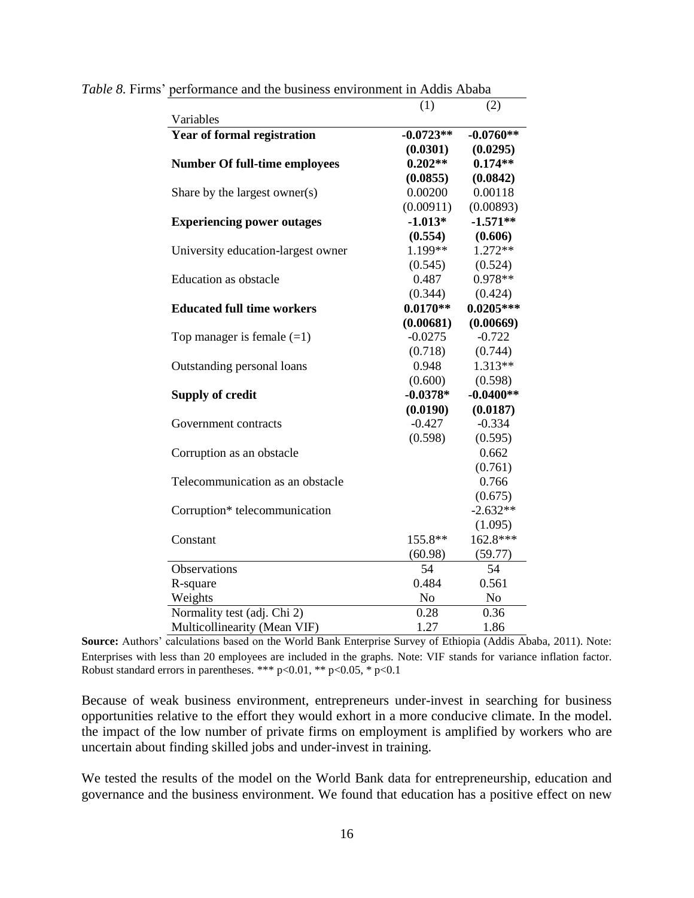|                                      | (1)         | (2)         |
|--------------------------------------|-------------|-------------|
| Variables                            |             |             |
| Year of formal registration          | $-0.0723**$ | $-0.0760**$ |
|                                      | (0.0301)    | (0.0295)    |
| <b>Number Of full-time employees</b> | $0.202**$   | $0.174**$   |
|                                      | (0.0855)    | (0.0842)    |
| Share by the largest owner(s)        | 0.00200     | 0.00118     |
|                                      | (0.00911)   | (0.00893)   |
| <b>Experiencing power outages</b>    | $-1.013*$   | $-1.571**$  |
|                                      | (0.554)     | (0.606)     |
| University education-largest owner   | 1.199**     | $1.272**$   |
|                                      | (0.545)     | (0.524)     |
| Education as obstacle                | 0.487       | $0.978**$   |
|                                      | (0.344)     | (0.424)     |
| <b>Educated full time workers</b>    | $0.0170**$  | $0.0205***$ |
|                                      | (0.00681)   | (0.00669)   |
| Top manager is female $(=1)$         | $-0.0275$   | $-0.722$    |
|                                      | (0.718)     | (0.744)     |
| Outstanding personal loans           | 0.948       | $1.313**$   |
|                                      | (0.600)     | (0.598)     |
| <b>Supply of credit</b>              | $-0.0378*$  | $-0.0400**$ |
|                                      | (0.0190)    | (0.0187)    |
| Government contracts                 | $-0.427$    | $-0.334$    |
|                                      | (0.598)     | (0.595)     |
| Corruption as an obstacle            |             | 0.662       |
|                                      |             | (0.761)     |
| Telecommunication as an obstacle     |             | 0.766       |
|                                      |             | (0.675)     |
| Corruption* telecommunication        |             | $-2.632**$  |
|                                      |             | (1.095)     |
| Constant                             | 155.8**     | 162.8***    |
|                                      | (60.98)     | (59.77)     |
| Observations                         | 54          | 54          |
| R-square                             | 0.484       | 0.561       |
| Weights                              | No          | No          |
| Normality test (adj. Chi 2)          | 0.28        | 0.36        |
| Multicollinearity (Mean VIF)         | 1.27        | 1.86        |

*Table 8.* Firms' performance and the business environment in Addis Ababa

**Source:** Authors' calculations based on the World Bank Enterprise Survey of Ethiopia (Addis Ababa, 2011). Note: Enterprises with less than 20 employees are included in the graphs. Note: VIF stands for variance inflation factor. Robust standard errors in parentheses. \*\*\* p<0.01, \*\* p<0.05, \* p<0.1

Because of weak business environment, entrepreneurs under-invest in searching for business opportunities relative to the effort they would exhort in a more conducive climate. In the model. the impact of the low number of private firms on employment is amplified by workers who are uncertain about finding skilled jobs and under-invest in training.

We tested the results of the model on the World Bank data for entrepreneurship, education and governance and the business environment. We found that education has a positive effect on new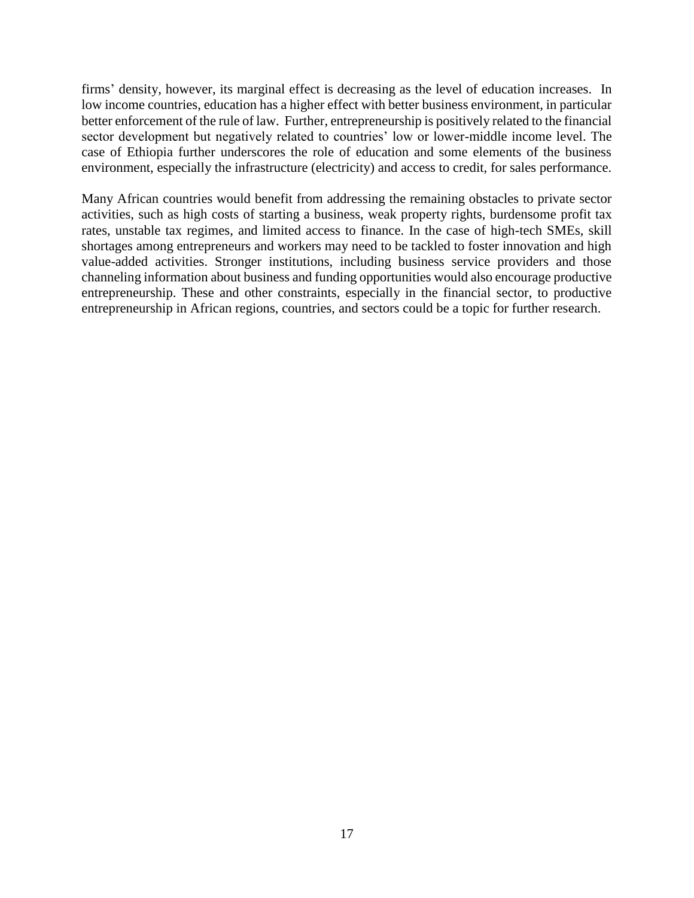firms' density, however, its marginal effect is decreasing as the level of education increases. In low income countries, education has a higher effect with better business environment, in particular better enforcement of the rule of law. Further, entrepreneurship is positively related to the financial sector development but negatively related to countries' low or lower-middle income level. The case of Ethiopia further underscores the role of education and some elements of the business environment, especially the infrastructure (electricity) and access to credit, for sales performance.

Many African countries would benefit from addressing the remaining obstacles to private sector activities, such as high costs of starting a business, weak property rights, burdensome profit tax rates, unstable tax regimes, and limited access to finance. In the case of high-tech SMEs, skill shortages among entrepreneurs and workers may need to be tackled to foster innovation and high value-added activities. Stronger institutions, including business service providers and those channeling information about business and funding opportunities would also encourage productive entrepreneurship. These and other constraints, especially in the financial sector, to productive entrepreneurship in African regions, countries, and sectors could be a topic for further research.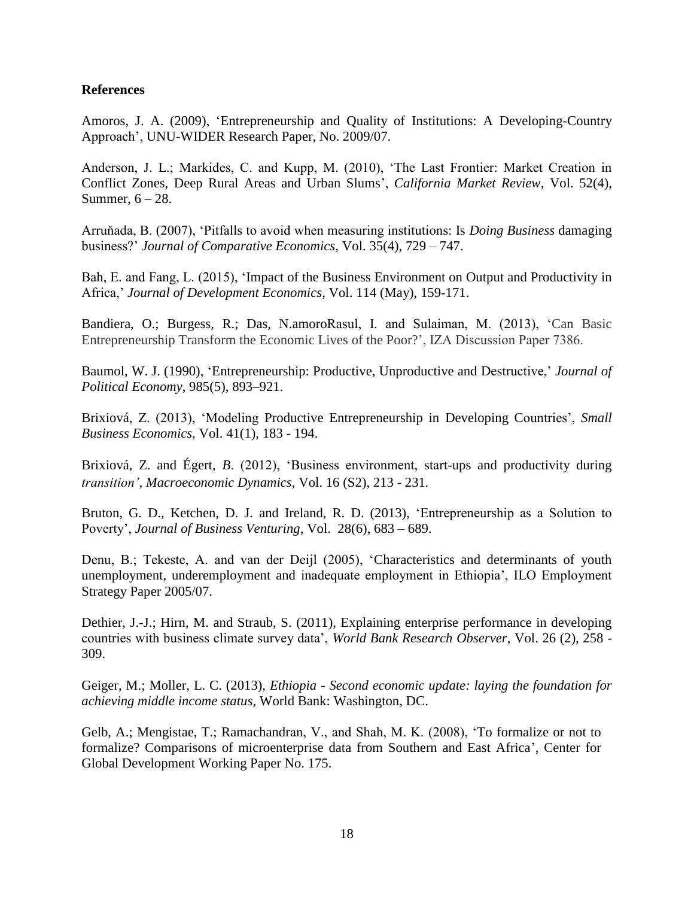## **References**

Amoros, J. A. (2009), 'Entrepreneurship and Quality of Institutions: A Developing-Country Approach', UNU-WIDER Research Paper, No. 2009/07.

Anderson, J. L.; Markides, C. and Kupp, M. (2010), 'The Last Frontier: Market Creation in Conflict Zones, Deep Rural Areas and Urban Slums', *California Market Review*, Vol. 52(4), Summer,  $6 - 28$ .

Arruňada, B. (2007), 'Pitfalls to avoid when measuring institutions: Is *Doing Business* damaging business?' *Journal of Comparative Economics*, Vol. 35(4), 729 – 747.

Bah, E. and Fang, L. (2015), 'Impact of the Business Environment on Output and Productivity in Africa,' *Journal of Development Economics*, Vol. 114 (May), 159-171.

Bandiera, O.; Burgess, R.; Das, N.amoroRasul, I. and Sulaiman, M. (2013), 'Can Basic Entrepreneurship Transform the Economic Lives of the Poor?', IZA Discussion Paper 7386.

Baumol, W. J. (1990), 'Entrepreneurship: Productive, Unproductive and Destructive,' *Journal of Political Economy*, 985(5), 893–921.

Brixiová, Z. (2013), 'Modeling Productive Entrepreneurship in Developing Countries', *Small Business Economics*, Vol. 41(1), 183 - 194.

Brixiová, Z. and Égert, B. (2012), 'Business environment, start-ups and productivity during *transition', Macroeconomic Dynamics,* Vol. 16 (S2), 213 - 231*.*

Bruton, G. D., Ketchen, D. J. and Ireland, R. D. (2013), 'Entrepreneurship as a Solution to Poverty', *Journal of Business Venturing*, Vol. 28(6), 683 – 689.

Denu, B.; Tekeste, A. and van der Deijl (2005), 'Characteristics and determinants of youth unemployment, underemployment and inadequate employment in Ethiopia', ILO Employment Strategy Paper 2005/07.

Dethier, J.-J.; Hirn, M. and Straub, S. (2011), Explaining enterprise performance in developing countries with business climate survey data', *World Bank Research Observer*, Vol. 26 (2), 258 - 309.

Geiger, M.; Moller, L. C. (2013), *Ethiopia - Second economic update: laying the foundation for achieving middle income status*, World Bank: Washington, DC.

Gelb, A.; Mengistae, T.; Ramachandran, V., and Shah, M. K. (2008), 'To formalize or not to formalize? Comparisons of microenterprise data from Southern and East Africa', Center for Global Development Working Paper No. 175.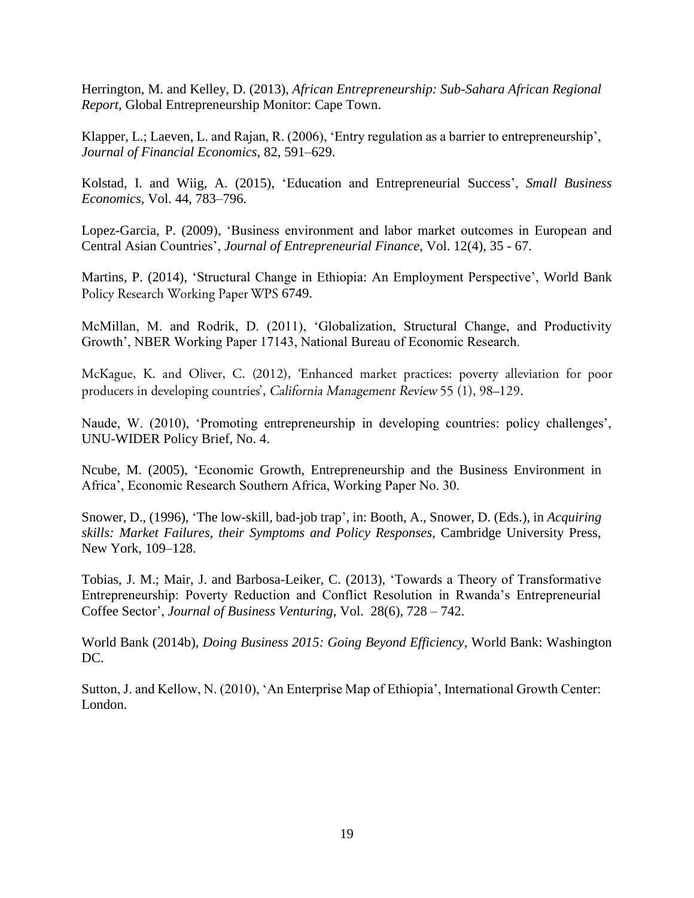Herrington, M. and Kelley, D. (2013), *African Entrepreneurship: Sub-Sahara African Regional Report*, Global Entrepreneurship Monitor: Cape Town.

Klapper, L.; Laeven, L. and Rajan, R. (2006), 'Entry regulation as a barrier to entrepreneurship', *Journal of Financial Economics,* 82, 591–629.

Kolstad, I. and Wiig, A. (2015), 'Education and Entrepreneurial Success', *Small Business Economics*, Vol. 44, 783–796.

Lopez-Garcia, P. (2009), 'Business environment and labor market outcomes in European and Central Asian Countries', *Journal of Entrepreneurial Finance*, Vol. 12(4), 35 - 67.

Martins, P. (2014), 'Structural Change in Ethiopia: An Employment Perspective', World Bank Policy Research Working Paper WPS 6749.

McMillan, M. and Rodrik, D. (2011), 'Globalization, Structural Change, and Productivity Growth', NBER Working Paper 17143, National Bureau of Economic Research.

McKague, K. and Oliver, C. (2012), 'Enhanced market practices: poverty alleviation for poor producers in developing countries', California Management Review 55 (1), 98–129.

Naude, W. (2010), 'Promoting entrepreneurship in developing countries: policy challenges', UNU-WIDER Policy Brief, No. 4.

Ncube, M. (2005), 'Economic Growth, Entrepreneurship and the Business Environment in Africa', Economic Research Southern Africa, Working Paper No. 30.

Snower, D., (1996), 'The low-skill, bad-job trap', in: Booth, A., Snower, D. (Eds.), in *Acquiring skills: Market Failures, their Symptoms and Policy Responses*, Cambridge University Press, New York, 109–128.

Tobias, J. M.; Mair, J. and Barbosa-Leiker, C. (2013), 'Towards a Theory of Transformative Entrepreneurship: Poverty Reduction and Conflict Resolution in Rwanda's Entrepreneurial Coffee Sector', *Journal of Business Venturing*, Vol. 28(6), 728 – 742.

World Bank (2014b), *Doing Business 2015: Going Beyond Efficiency,* World Bank: Washington DC.

Sutton, J. and Kellow, N. (2010), 'An Enterprise Map of Ethiopia', International Growth Center: London.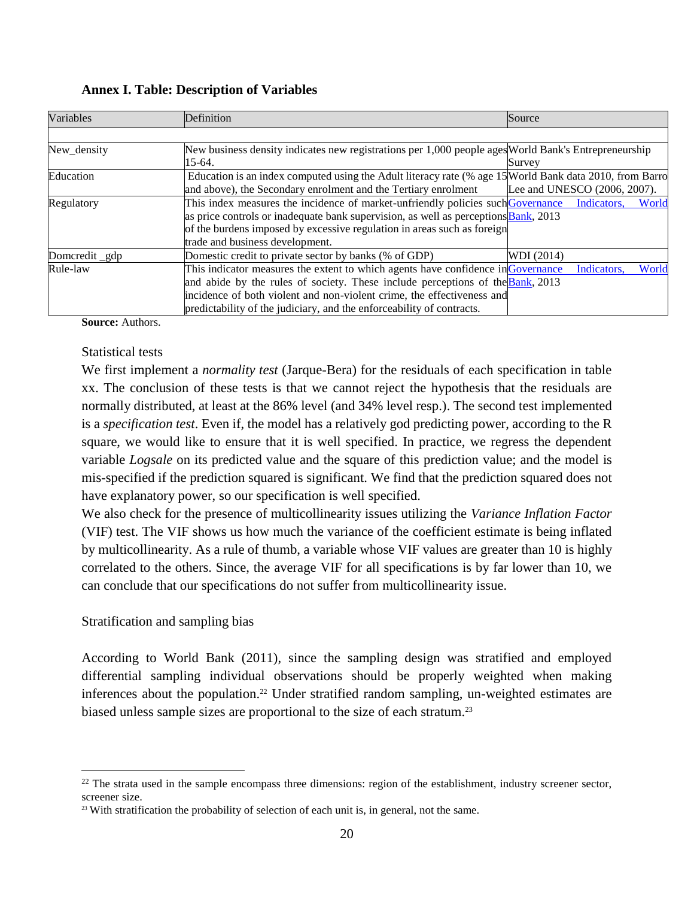| Variables      | Definition                                                                                              | Source                       |
|----------------|---------------------------------------------------------------------------------------------------------|------------------------------|
|                |                                                                                                         |                              |
| New_density    | New business density indicates new registrations per 1,000 people ages World Bank's Entrepreneurship    |                              |
|                | 15-64.                                                                                                  | Survey                       |
| Education      | Education is an index computed using the Adult literacy rate (% age 15 World Bank data 2010, from Barro |                              |
|                | and above), the Secondary enrolment and the Tertiary enrolment                                          | Lee and UNESCO (2006, 2007). |
| Regulatory     | This index measures the incidence of market-unfriendly policies such Governance                         | Indicators,<br>World         |
|                | as price controls or inadequate bank supervision, as well as perceptions <b>Bank</b> , 2013             |                              |
|                | of the burdens imposed by excessive regulation in areas such as foreign                                 |                              |
|                | trade and business development.                                                                         |                              |
| Domcredit _gdp | Domestic credit to private sector by banks (% of GDP)                                                   | WDI (2014)                   |
| Rule-law       | This indicator measures the extent to which agents have confidence in Governance                        | World<br>Indicators,         |
|                | and abide by the rules of society. These include perceptions of the <b>Bank</b> , 2013                  |                              |
|                | incidence of both violent and non-violent crime, the effectiveness and                                  |                              |
|                | predictability of the judiciary, and the enforceability of contracts.                                   |                              |

**Annex I. Table: Description of Variables**

**Source:** Authors.

## Statistical tests

We first implement a *normality test* (Jarque-Bera) for the residuals of each specification in table xx. The conclusion of these tests is that we cannot reject the hypothesis that the residuals are normally distributed, at least at the 86% level (and 34% level resp.). The second test implemented is a *specification test*. Even if, the model has a relatively god predicting power, according to the R square, we would like to ensure that it is well specified. In practice, we regress the dependent variable *Logsale* on its predicted value and the square of this prediction value; and the model is mis-specified if the prediction squared is significant. We find that the prediction squared does not have explanatory power, so our specification is well specified.

We also check for the presence of multicollinearity issues utilizing the *Variance Inflation Factor* (VIF) test. The VIF shows us how much the variance of the coefficient estimate is being inflated by multicollinearity. As a rule of thumb, a variable whose VIF values are greater than 10 is highly correlated to the others. Since, the average VIF for all specifications is by far lower than 10, we can conclude that our specifications do not suffer from multicollinearity issue.

## Stratification and sampling bias

 $\overline{a}$ 

According to World Bank (2011), since the sampling design was stratified and employed differential sampling individual observations should be properly weighted when making inferences about the population.<sup>22</sup> Under stratified random sampling, un-weighted estimates are biased unless sample sizes are proportional to the size of each stratum.<sup>23</sup>

<sup>&</sup>lt;sup>22</sup> The strata used in the sample encompass three dimensions: region of the establishment, industry screener sector, screener size.

<sup>&</sup>lt;sup>23</sup> With stratification the probability of selection of each unit is, in general, not the same.